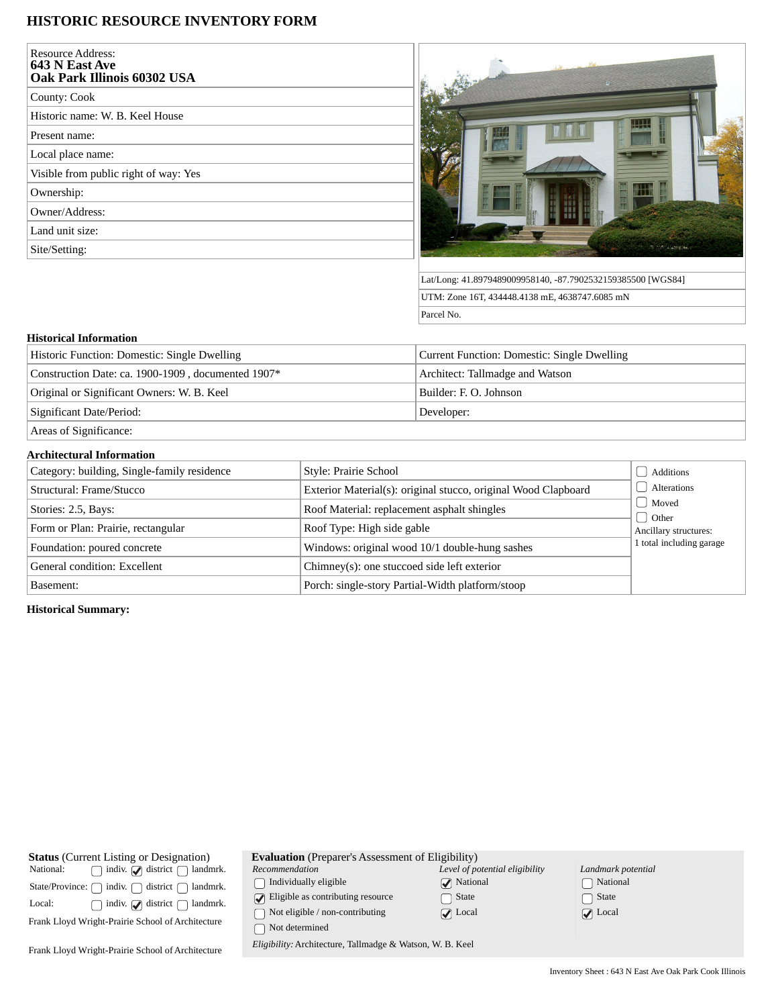## **HISTORIC RESOURCE INVENTORY FORM**

| Resource Address:<br>643 N East Ave<br>Oak Park Illinois 60302 USA |  |
|--------------------------------------------------------------------|--|
| County: Cook                                                       |  |
| Historic name: W. B. Keel House                                    |  |
| Present name:                                                      |  |
| Local place name:                                                  |  |
| Visible from public right of way: Yes                              |  |
| Ownership:                                                         |  |
| Owner/Address:                                                     |  |
| Land unit size:                                                    |  |
| Site/Setting:                                                      |  |
|                                                                    |  |



Lat/Long: 41.8979489009958140, -87.7902532159385500 [WGS84] UTM: Zone 16T, 434448.4138 mE, 4638747.6085 mN Parcel No.

## **Historical Information**

| Historic Function: Domestic: Single Dwelling       | Current Function: Domestic: Single Dwelling |
|----------------------------------------------------|---------------------------------------------|
| Construction Date: ca. 1900-1909, documented 1907* | Architect: Tallmadge and Watson             |
| Original or Significant Owners: W. B. Keel         | Builder: E. O. Johnson                      |
| Significant Date/Period:                           | Developer:                                  |
| $\begin{array}{ccc} \hline \end{array}$            |                                             |

Areas of Significance:

## **Architectural Information**

| Category: building, Single-family residence | Style: Prairie School                                          | Additions                        |
|---------------------------------------------|----------------------------------------------------------------|----------------------------------|
| Structural: Frame/Stucco                    | Exterior Material(s): original stucco, original Wood Clapboard | <b>Alterations</b>               |
| Stories: 2.5, Bays:                         | Roof Material: replacement asphalt shingles                    | Moved                            |
| Form or Plan: Prairie, rectangular          | Roof Type: High side gable                                     | d Other<br>Ancillary structures: |
| Foundation: poured concrete                 | Windows: original wood 10/1 double-hung sashes                 | 1 total including garage         |
| General condition: Excellent                | Chimney(s): one stuccoed side left exterior                    |                                  |
| Basement:                                   | Porch: single-story Partial-Width platform/stoop               |                                  |

**Historical Summary:**

| <b>Status</b> (Current Listing or Designation)                | <b>Evaluation</b> (Preparer's Assessment of Eligibility)  |                                |                            |
|---------------------------------------------------------------|-----------------------------------------------------------|--------------------------------|----------------------------|
| indiv. $\bigcirc$ district $\bigcap$<br>National:<br>landmrk. | Recommendation                                            | Level of potential eligibility | Landmark potential         |
| district (<br>indiv.<br>landmrk.<br>State/Province: [         | Individually eligible                                     | $\sqrt{\phantom{a}}$ National  | National                   |
| indiv. $\Box$ district<br>Local:<br>landmrk.                  | Eligible as contributing resource                         | State                          | State                      |
|                                                               | Not eligible / non-contributing                           | $\sqrt{ }$ Local               | $\sqrt{\phantom{a}}$ Local |
| Frank Lloyd Wright-Prairie School of Architecture             | Not determined                                            |                                |                            |
| Frank Lloyd Wright-Prairie School of Architecture             | Eligibility: Architecture, Tallmadge & Watson, W. B. Keel |                                |                            |